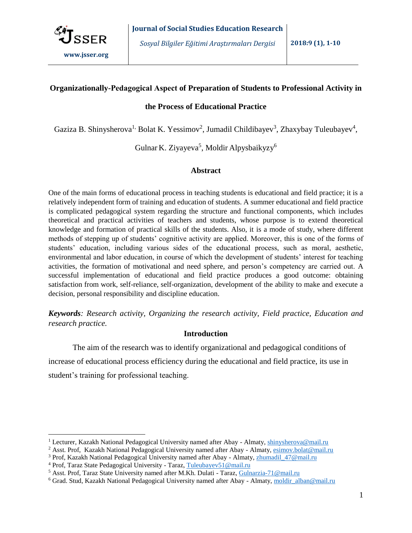

# **Organizationally-Рedagogical Aspect of Preparation of Students to Professional Activity in**

### **the Process of Educational Practice**

Gaziza B. Shinysherova<sup>1,</sup> Bolat K. Yessimov<sup>2</sup>, Jumadil Childibayev<sup>3</sup>, Zhaxybay Tuleubayev<sup>4</sup>,

Gulnar K. Ziyayeva $^5$ , Moldir Alpysbaikyzy $^6$ 

## **Abstract**

One of the main forms of educational process in teaching students is educational and field practice; it is a relatively independent form of training and education of students. A summer educational and field practice is complicated pedagogical system regarding the structure and functional components, which includes theoretical and practical activities of teachers and students, whose purpose is to extend theoretical knowledge and formation of practical skills of the students. Also, it is a mode of study, where different methods of stepping up of students' cognitive activity are applied. Moreover, this is one of the forms of students' education, including various sides of the educational process, such as moral, aesthetic, environmental and labor education, in course of which the development of students' interest for teaching activities, the formation of motivational and need sphere, and person's competency are carried out. A successful implementation of educational and field practice produces a good outcome: obtaining satisfaction from work, self-reliance, self-organization, development of the ability to make and execute a decision, personal responsibility and discipline education.

*Keywords: Research activity, Organizing the research activity, Field practice, Education and research practice.*

# **Introduction**

The aim of the research was to identify organizational and pedagogical conditions of increase of educational process efficiency during the educational and field practice, its use in student's training for professional teaching.

 $\overline{a}$ 

<sup>&</sup>lt;sup>1</sup> Lecturer, Kazakh National Pedagogical University named after Abay - Almaty, shinysherova@mail.ru

<sup>&</sup>lt;sup>2</sup> Asst. Prof, Kazakh National Pedagogical University named after Abay - Almaty, esimov.bolat@mail.ru

<sup>&</sup>lt;sup>3</sup> Prof, Kazakh National Pedagogical University named after Abay - Almaty, zhumadil 47@mail.ru

<sup>4</sup> Prof, Taraz State Pedagogical University - Taraz, Tuleubayev51@mail.ru

<sup>5</sup> Asst. Prof, Taraz State University named after M.Kh. Dulati - Taraz, Gulnarzia-71@mail.ru

<sup>6</sup> Grad. Stud, Kazakh National Pedagogical University named after Abay - Almaty, moldir\_alban@mail.ru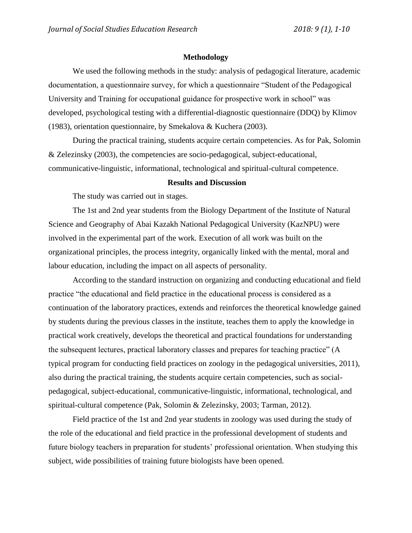## **Methodology**

We used the following methods in the study: analysis of pedagogical literature, academic documentation, a questionnaire survey, for which a questionnaire "Student of the Pedagogical University and Training for occupational guidance for prospective work in school" was developed, psychological testing with a differential-diagnostic questionnaire (DDQ) by Klimov (1983), orientation questionnaire, by Smekalova & Kuchera (2003).

During the practical training, students acquire certain competencies. As for Pak, Solomin & Zelezinsky (2003), the competencies are socio-pedagogical, subject-educational, communicative-linguistic, informational, technological and spiritual-cultural competence.

## **Results and Discussion**

The study was carried out in stages.

The 1st and 2nd year students from the Biology Department of the Institute of Natural Science and Geography of Abai Kazakh National Pedagogical University (KazNPU) were involved in the experimental part of the work. Execution of all work was built on the organizational principles, the process integrity, organically linked with the mental, moral and labour education, including the impact on all aspects of personality.

According to the standard instruction on organizing and conducting educational and field practice "the educational and field practice in the educational process is considered as a continuation of the laboratory practices, extends and reinforces the theoretical knowledge gained by students during the previous classes in the institute, teaches them to apply the knowledge in practical work creatively, develops the theoretical and practical foundations for understanding the subsequent lectures, practical laboratory classes and prepares for teaching practice" (A typical program for conducting field practices on zoology in the pedagogical universities, 2011), also during the practical training, the students acquire certain competencies, such as socialpedagogical, subject-educational, communicative-linguistic, informational, technological, and spiritual-cultural competence (Pak, Solomin & Zelezinsky, 2003; Tarman, 2012).

Field practice of the 1st and 2nd year students in zoology was used during the study of the role of the educational and field practice in the professional development of students and future biology teachers in preparation for students' professional orientation. When studying this subject, wide possibilities of training future biologists have been opened.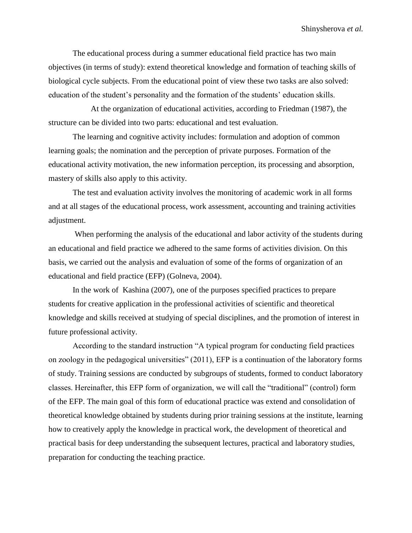The educational process during a summer educational field practice has two main objectives (in terms of study): extend theoretical knowledge and formation of teaching skills of biological cycle subjects. From the educational point of view these two tasks are also solved: education of the student's personality and the formation of the students' education skills.

 At the organization of educational activities, according to Friedman (1987), the structure can be divided into two parts: educational and test evaluation.

The learning and cognitive activity includes: formulation and adoption of common learning goals; the nomination and the perception of private purposes. Formation of the educational activity motivation, the new information perception, its processing and absorption, mastery of skills also apply to this activity.

The test and evaluation activity involves the monitoring of academic work in all forms and at all stages of the educational process, work assessment, accounting and training activities adjustment.

When performing the analysis of the educational and labor activity of the students during an educational and field practice we adhered to the same forms of activities division. On this basis, we carried out the analysis and evaluation of some of the forms of organization of an educational and field practice (EFP) (Golneva, 2004).

In the work of Kashina (2007), one of the purposes specified practices to prepare students for creative application in the professional activities of scientific and theoretical knowledge and skills received at studying of special disciplines, and the promotion of interest in future professional activity.

According to the standard instruction "A typical program for conducting field practices on zoology in the pedagogical universities" (2011), EFP is a continuation of the laboratory forms of study. Training sessions are conducted by subgroups of students, formed to conduct laboratory classes. Hereinafter, this EFP form of organization, we will call the "traditional" (control) form of the EFP. The main goal of this form of educational practice was extend and consolidation of theoretical knowledge obtained by students during prior training sessions at the institute, learning how to creatively apply the knowledge in practical work, the development of theoretical and practical basis for deep understanding the subsequent lectures, practical and laboratory studies, preparation for conducting the teaching practice.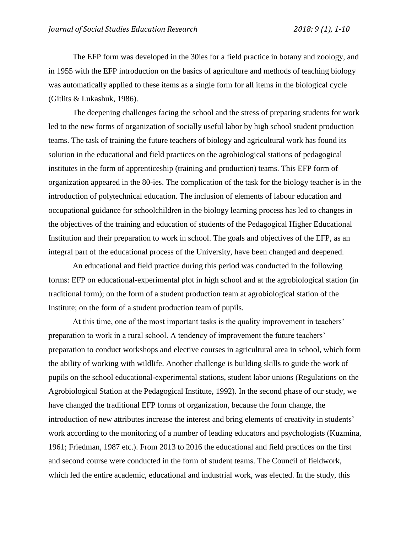The EFP form was developed in the 30ies for a field practice in botany and zoology, and in 1955 with the EFP introduction on the basics of agriculture and methods of teaching biology was automatically applied to these items as a single form for all items in the biological cycle (Gitlits & Lukashuk, 1986).

The deepening challenges facing the school and the stress of preparing students for work led to the new forms of organization of socially useful labor by high school student production teams. The task of training the future teachers of biology and agricultural work has found its solution in the educational and field practices on the agrobiological stations of pedagogical institutes in the form of apprenticeship (training and production) teams. This EFP form of organization appeared in the 80-ies. The complication of the task for the biology teacher is in the introduction of polytechnical education. The inclusion of elements of labour education and occupational guidance for schoolchildren in the biology learning process has led to changes in the objectives of the training and education of students of the Pedagogical Higher Educational Institution and their preparation to work in school. The goals and objectives of the EFP, as an integral part of the educational process of the University, have been changed and deepened.

An educational and field practice during this period was conducted in the following forms: EFP on educational-experimental plot in high school and at the agrobiological station (in traditional form); on the form of a student production team at agrobiological station of the Institute; on the form of a student production team of pupils.

At this time, one of the most important tasks is the quality improvement in teachers' preparation to work in a rural school. A tendency of improvement the future teachers' preparation to conduct workshops and elective courses in agricultural area in school, which form the ability of working with wildlife. Another challenge is building skills to guide the work of pupils on the school educational-experimental stations, student labor unions (Regulations on the Agrobiological Station at the Pedagogical Institute, 1992). In the second phase of our study, we have changed the traditional EFP forms of organization, because the form change, the introduction of new attributes increase the interest and bring elements of creativity in students' work according to the monitoring of a number of leading educators and psychologists (Kuzmina, 1961; Friedman, 1987 etc.). From 2013 to 2016 the educational and field practices on the first and second course were conducted in the form of student teams. The Council of fieldwork, which led the entire academic, educational and industrial work, was elected. In the study, this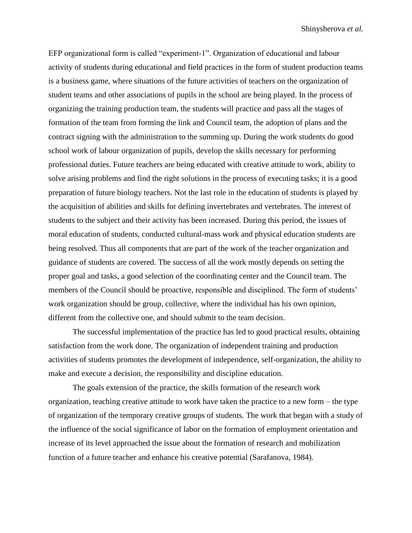EFP organizational form is called "experiment-1". Organization of educational and labour activity of students during educational and field practices in the form of student production teams is a business game, where situations of the future activities of teachers on the organization of student teams and other associations of pupils in the school are being played. In the process of organizing the training production team, the students will practice and pass all the stages of formation of the team from forming the link and Council team, the adoption of plans and the contract signing with the administration to the summing up. During the work students do good school work of labour organization of pupils, develop the skills necessary for performing professional duties. Future teachers are being educated with creative attitude to work, ability to solve arising problems and find the right solutions in the process of executing tasks; it is a good preparation of future biology teachers. Not the last role in the education of students is played by the acquisition of abilities and skills for defining invertebrates and vertebrates. The interest of students to the subject and their activity has been increased. During this period, the issues of moral education of students, conducted cultural-mass work and physical education students are being resolved. Thus all components that are part of the work of the teacher organization and guidance of students are covered. The success of all the work mostly depends on setting the proper goal and tasks, a good selection of the coordinating center and the Council team. The members of the Council should be proactive, responsible and disciplined. The form of students' work organization should be group, collective, where the individual has his own opinion, different from the collective one, and should submit to the team decision.

The successful implementation of the practice has led to good practical results, obtaining satisfaction from the work done. The organization of independent training and production activities of students promotes the development of independence, self-organization, the ability to make and execute a decision, the responsibility and discipline education.

The goals extension of the practice, the skills formation of the research work organization, teaching creative attitude to work have taken the practice to a new form – the type of organization of the temporary creative groups of students. The work that began with a study of the influence of the social significance of labor on the formation of employment orientation and increase of its level approached the issue about the formation of research and mobilization function of a future teacher and enhance his creative potential (Sarafanova, 1984).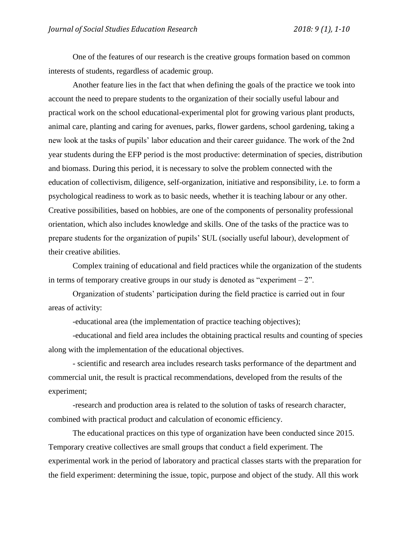One of the features of our research is the creative groups formation based on common interests of students, regardless of academic group.

Another feature lies in the fact that when defining the goals of the practice we took into account the need to prepare students to the organization of their socially useful labour and practical work on the school educational-experimental plot for growing various plant products, animal care, planting and caring for avenues, parks, flower gardens, school gardening, taking a new look at the tasks of pupils' labor education and their career guidance. The work of the 2nd year students during the EFP period is the most productive: determination of species, distribution and biomass. During this period, it is necessary to solve the problem connected with the education of collectivism, diligence, self-organization, initiative and responsibility, i.e. to form a psychological readiness to work as to basic needs, whether it is teaching labour or any other. Creative possibilities, based on hobbies, are one of the components of personality professional orientation, which also includes knowledge and skills. One of the tasks of the practice was to prepare students for the organization of pupils' SUL (socially useful labour), development of their creative abilities.

Complex training of educational and field practices while the organization of the students in terms of temporary creative groups in our study is denoted as "experiment  $-2$ ".

Organization of students' participation during the field practice is carried out in four areas of activity:

-educational area (the implementation of practice teaching objectives);

-educational and field area includes the obtaining practical results and counting of species along with the implementation of the educational objectives.

- scientific and research area includes research tasks performance of the department and commercial unit, the result is practical recommendations, developed from the results of the experiment;

-research and production area is related to the solution of tasks of research character, combined with practical product and calculation of economic efficiency.

The educational practices on this type of organization have been conducted since 2015. Temporary creative collectives are small groups that conduct a field experiment. The experimental work in the period of laboratory and practical classes starts with the preparation for the field experiment: determining the issue, topic, purpose and object of the study. All this work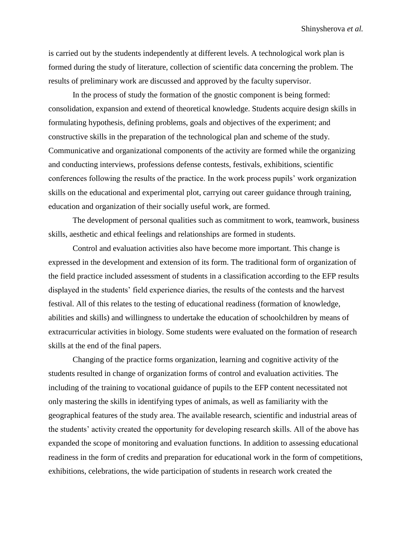is carried out by the students independently at different levels. A technological work plan is formed during the study of literature, collection of scientific data concerning the problem. The results of preliminary work are discussed and approved by the faculty supervisor.

In the process of study the formation of the gnostic component is being formed: consolidation, expansion and extend of theoretical knowledge. Students acquire design skills in formulating hypothesis, defining problems, goals and objectives of the experiment; and constructive skills in the preparation of the technological plan and scheme of the study. Communicative and organizational components of the activity are formed while the organizing and conducting interviews, professions defense contests, festivals, exhibitions, scientific conferences following the results of the practice. In the work process pupils' work organization skills on the educational and experimental plot, carrying out career guidance through training, education and organization of their socially useful work, are formed.

The development of personal qualities such as commitment to work, teamwork, business skills, aesthetic and ethical feelings and relationships are formed in students.

Control and evaluation activities also have become more important. This change is expressed in the development and extension of its form. The traditional form of organization of the field practice included assessment of students in a classification according to the EFP results displayed in the students' field experience diaries, the results of the contests and the harvest festival. All of this relates to the testing of educational readiness (formation of knowledge, abilities and skills) and willingness to undertake the education of schoolchildren by means of extracurricular activities in biology. Some students were evaluated on the formation of research skills at the end of the final papers.

Changing of the practice forms organization, learning and cognitive activity of the students resulted in change of organization forms of control and evaluation activities. The including of the training to vocational guidance of pupils to the EFP content necessitated not only mastering the skills in identifying types of animals, as well as familiarity with the geographical features of the study area. The available research, scientific and industrial areas of the students' activity created the opportunity for developing research skills. All of the above has expanded the scope of monitoring and evaluation functions. In addition to assessing educational readiness in the form of credits and preparation for educational work in the form of competitions, exhibitions, celebrations, the wide participation of students in research work created the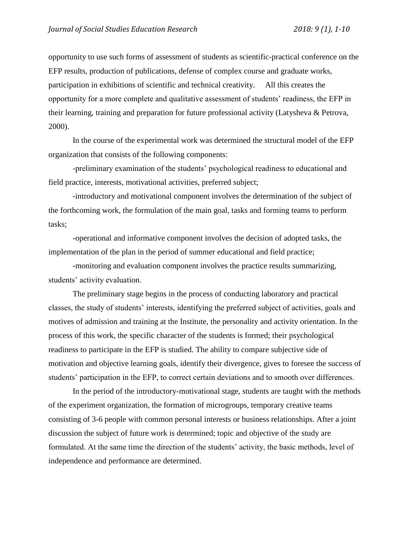opportunity to use such forms of assessment of students as scientific-practical conference on the EFP results, production of publications, defense of complex course and graduate works, participation in exhibitions of scientific and technical creativity. All this creates the opportunity for a more complete and qualitative assessment of students' readiness, the EFP in their learning, training and preparation for future professional activity (Latysheva & Petrova, 2000).

In the course of the experimental work was determined the structural model of the EFP organization that consists of the following components:

-preliminary examination of the students' psychological readiness to educational and field practice, interests, motivational activities, preferred subject;

-introductory and motivational component involves the determination of the subject of the forthcoming work, the formulation of the main goal, tasks and forming teams to perform tasks;

-operational and informative component involves the decision of adopted tasks, the implementation of the plan in the period of summer educational and field practice;

-monitoring and evaluation component involves the practice results summarizing, students' activity evaluation.

The preliminary stage begins in the process of conducting laboratory and practical classes, the study of students' interests, identifying the preferred subject of activities, goals and motives of admission and training at the Institute, the personality and activity orientation. In the process of this work, the specific character of the students is formed; their psychological readiness to participate in the EFP is studied. The ability to compare subjective side of motivation and objective learning goals, identify their divergence, gives to foresee the success of students' participation in the EFP, to correct certain deviations and to smooth over differences.

In the period of the introductory-motivational stage, students are taught with the methods of the experiment organization, the formation of microgroups, temporary creative teams consisting of 3-6 people with common personal interests or business relationships. After a joint discussion the subject of future work is determined; topic and objective of the study are formulated. At the same time the direction of the students' activity, the basic methods, level of independence and performance are determined.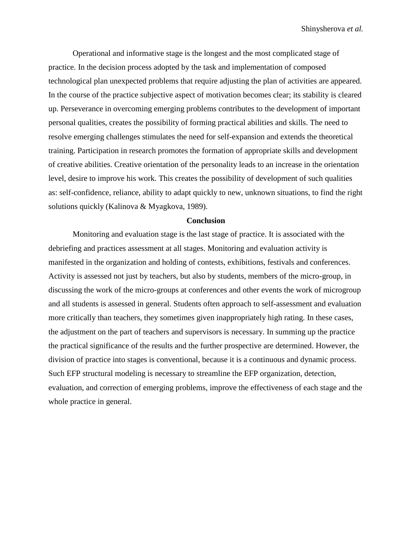Operational and informative stage is the longest and the most complicated stage of practice. In the decision process adopted by the task and implementation of composed technological plan unexpected problems that require adjusting the plan of activities are appeared. In the course of the practice subjective aspect of motivation becomes clear; its stability is cleared up. Perseverance in overcoming emerging problems contributes to the development of important personal qualities, creates the possibility of forming practical abilities and skills. The need to resolve emerging challenges stimulates the need for self-expansion and extends the theoretical training. Participation in research promotes the formation of appropriate skills and development of creative abilities. Creative orientation of the personality leads to an increase in the orientation level, desire to improve his work. This creates the possibility of development of such qualities as: self-confidence, reliance, ability to adapt quickly to new, unknown situations, to find the right solutions quickly (Kalinova & Myagkova, 1989).

#### **Conclusion**

Monitoring and evaluation stage is the last stage of practice. It is associated with the debriefing and practices assessment at all stages. Monitoring and evaluation activity is manifested in the organization and holding of contests, exhibitions, festivals and conferences. Activity is assessed not just by teachers, but also by students, members of the micro-group, in discussing the work of the micro-groups at conferences and other events the work of microgroup and all students is assessed in general. Students often approach to self-assessment and evaluation more critically than teachers, they sometimes given inappropriately high rating. In these cases, the adjustment on the part of teachers and supervisors is necessary. In summing up the practice the practical significance of the results and the further prospective are determined. However, the division of practice into stages is conventional, because it is a continuous and dynamic process. Such EFP structural modeling is necessary to streamline the EFP organization, detection, evaluation, and correction of emerging problems, improve the effectiveness of each stage and the whole practice in general.